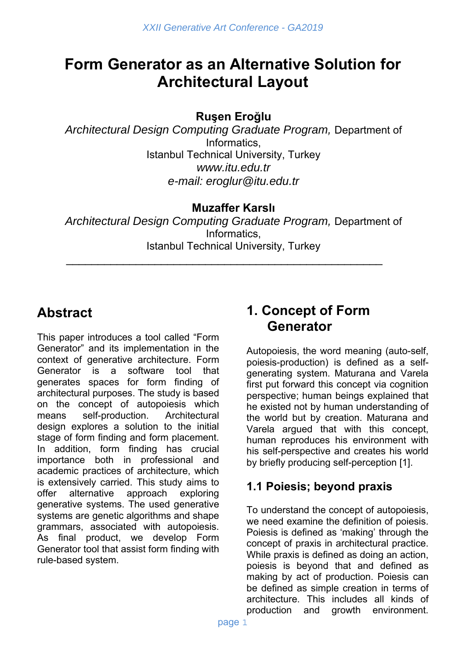# **Form Generator as an Alternative Solution for Architectural Layout**

**Ruşen Eroğlu**

*Architectural Design Computing Graduate Program,* Department of **Informatics** Istanbul Technical University, Turkey *www.itu.edu.tr e-mail: eroglur@itu.edu.tr* 

#### **Muzaffer Karslı**

*Architectural Design Computing Graduate Program,* Department of Informatics, Istanbul Technical University, Turkey

\_\_\_\_\_\_\_\_\_\_\_\_\_\_\_\_\_\_\_\_\_\_\_\_\_\_\_\_\_\_\_\_\_\_\_\_\_\_\_\_\_\_\_\_\_\_\_\_\_\_

# **Abstract**

This paper introduces a tool called "Form Generator" and its implementation in the context of generative architecture. Form Generator is a software tool that generates spaces for form finding of architectural purposes. The study is based on the concept of autopoiesis which means self-production. Architectural design explores a solution to the initial stage of form finding and form placement. In addition, form finding has crucial importance both in professional and academic practices of architecture, which is extensively carried. This study aims to offer alternative approach exploring generative systems. The used generative systems are genetic algorithms and shape grammars, associated with autopoiesis. As final product, we develop Form Generator tool that assist form finding with rule-based system.

## **1. Concept of Form Generator**

Autopoiesis, the word meaning (auto-self, poiesis-production) is defined as a selfgenerating system. Maturana and Varela first put forward this concept via cognition perspective; human beings explained that he existed not by human understanding of the world but by creation. Maturana and Varela argued that with this concept, human reproduces his environment with his self-perspective and creates his world by briefly producing self-perception [1].

## **1.1 Poiesis; beyond praxis**

To understand the concept of autopoiesis, we need examine the definition of poiesis. Poiesis is defined as 'making' through the concept of praxis in architectural practice. While praxis is defined as doing an action, poiesis is beyond that and defined as making by act of production. Poiesis can be defined as simple creation in terms of architecture. This includes all kinds of production and growth environment.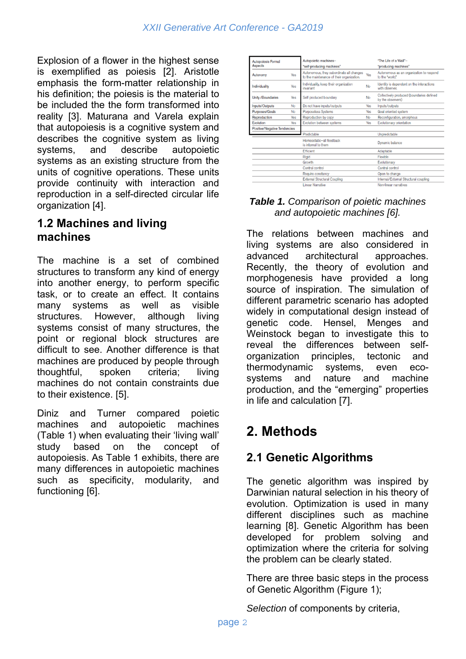Explosion of a flower in the highest sense is exemplified as poiesis [2]. Aristotle emphasis the form-matter relationship in his definition; the poiesis is the material to be included the the form transformed into reality [3]. Maturana and Varela explain that autopoiesis is a cognitive system and describes the cognitive system as living systems, and describe autopoietic systems as an existing structure from the units of cognitive operations. These units provide continuity with interaction and reproduction in a self-directed circular life organization [4].

#### **1.2 Machines and living machines**

The machine is a set of combined structures to transform any kind of energy into another energy, to perform specific task, or to create an effect. It contains many systems as well as visible structures. However, although living systems consist of many structures, the point or regional block structures are difficult to see. Another difference is that machines are produced by people through thoughtful, spoken criteria; living machines do not contain constraints due to their existence. [5].

Diniz and Turner compared poietic machines and autopoietic machines (Table 1) when evaluating their 'living wall' study based on the concept of autopoiesis. As Table 1 exhibits, there are many differences in autopoietic machines such as specificity, modularity, and functioning [6].

| <b>Autopoiesis Formal</b>    |     | Autopoietic machines-                                                                 |     | "The Life of a Wall"-                                          |
|------------------------------|-----|---------------------------------------------------------------------------------------|-----|----------------------------------------------------------------|
| Aspects                      |     | "self-producing machines"                                                             |     | "producing machines"                                           |
| Autonomy                     | Yes | Autonomous, they subordinate all changes<br>to the maintenance of their organization. | Yes | Autonomous as an organization to respond<br>to the "world."    |
| Individuality                | Yes | Individuality, keep their organization<br>invariant                                   | No  | Identity is dependent on the interactions<br>with observer.    |
| <b>Unity /Boundaries</b>     | Yes | Self produced boundary                                                                | No  | Collectively produced (boundaries defined<br>by the observers) |
| Inputs/Outputs               | No  | Do not have inputs/outputs                                                            | Yes | Inputs/outputs                                                 |
| Purposes/Goals               | No  | Purposeless Systems                                                                   | Yes | Goal oriented system                                           |
| Reproduction                 | Yes | Reproduction by copy                                                                  | No  | Reconfiguration, amorphous                                     |
| Evolution                    | Yes | Evolution between systems                                                             | Yes | Evolutionary orientation                                       |
| Positive/Negative Tendencies |     |                                                                                       |     |                                                                |
|                              |     | Predictable                                                                           |     | Unpredictable                                                  |
|                              |     | Homeostatic-all feedback<br>is internal to them                                       |     | Dynamic balance                                                |
|                              |     | Efficient                                                                             |     | Adaptable                                                      |
|                              |     | Rigid                                                                                 |     | Flexible                                                       |
|                              |     | Growth                                                                                |     | Evolutionary                                                   |
|                              |     | Central control                                                                       |     | Central control                                                |
|                              |     | Require constancy                                                                     |     | Open to change                                                 |
|                              |     | <b>External Structural Coupling</b>                                                   |     | Internal/External Structural coupling                          |
|                              |     | <b>Linear Narrative</b>                                                               |     | Non-linear narratives                                          |

#### *Table 1. Comparison of poietic machines and autopoietic machines [6].*

The relations between machines and living systems are also considered in advanced architectural approaches. Recently, the theory of evolution and morphogenesis have provided a long source of inspiration. The simulation of different parametric scenario has adopted widely in computational design instead of genetic code. Hensel, Menges and Weinstock began to investigate this to reveal the differences between selforganization principles, tectonic and thermodynamic systems, even ecosystems and nature and machine production, and the "emerging" properties in life and calculation [7].

## **2. Methods**

## **2.1 Genetic Algorithms**

The genetic algorithm was inspired by Darwinian natural selection in his theory of evolution. Optimization is used in many different disciplines such as machine learning [8]. Genetic Algorithm has been developed for problem solving and optimization where the criteria for solving the problem can be clearly stated.

There are three basic steps in the process of Genetic Algorithm (Figure 1);

*Selection* of components by criteria,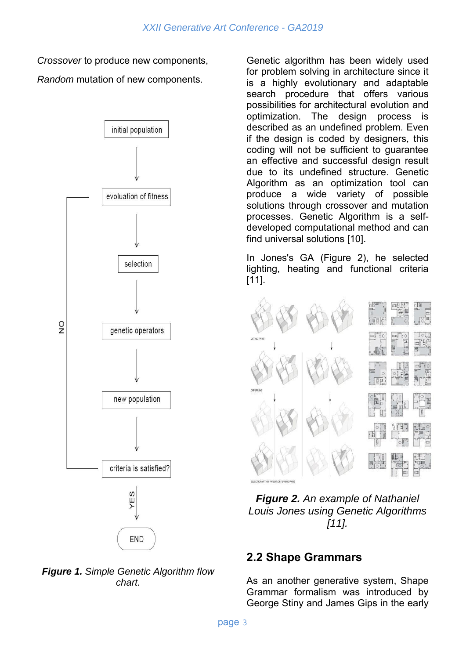*Crossover* to produce new components, *Random* mutation of new components.





Genetic algorithm has been widely used for problem solving in architecture since it is a highly evolutionary and adaptable search procedure that offers various possibilities for architectural evolution and optimization. The design process is described as an undefined problem. Even if the design is coded by designers, this coding will not be sufficient to guarantee an effective and successful design result due to its undefined structure. Genetic Algorithm as an optimization tool can produce a wide variety of possible solutions through crossover and mutation processes. Genetic Algorithm is a selfdeveloped computational method and can find universal solutions [10].

In Jones's GA (Figure 2), he selected lighting, heating and functional criteria [11].



*Figure 2. An example of Nathaniel Louis Jones using Genetic Algorithms [11].*

## **2.2 Shape Grammars**

As an another generative system, Shape Grammar formalism was introduced by George Stiny and James Gips in the early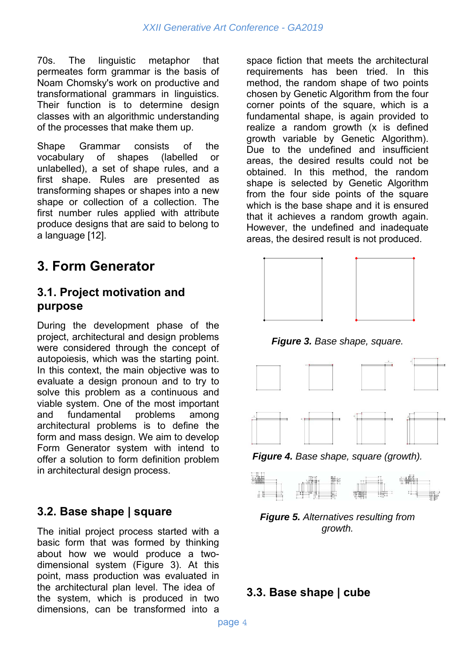70s. The linguistic metaphor that permeates form grammar is the basis of Noam Chomsky's work on productive and transformational grammars in linguistics. Their function is to determine design classes with an algorithmic understanding of the processes that make them up.

Shape Grammar consists of the vocabulary of shapes (labelled or unlabelled), a set of shape rules, and a first shape. Rules are presented as transforming shapes or shapes into a new shape or collection of a collection. The first number rules applied with attribute produce designs that are said to belong to a language [12].

## **3. Form Generator**

#### **3.1. Project motivation and purpose**

During the development phase of the project, architectural and design problems were considered through the concept of autopoiesis, which was the starting point. In this context, the main objective was to evaluate a design pronoun and to try to solve this problem as a continuous and viable system. One of the most important and fundamental problems among architectural problems is to define the form and mass design. We aim to develop Form Generator system with intend to offer a solution to form definition problem in architectural design process.

## **3.2. Base shape | square**

The initial project process started with a basic form that was formed by thinking about how we would produce a twodimensional system (Figure 3). At this point, mass production was evaluated in the architectural plan level. The idea of the system, which is produced in two dimensions, can be transformed into a

space fiction that meets the architectural requirements has been tried. In this method, the random shape of two points chosen by Genetic Algorithm from the four corner points of the square, which is a fundamental shape, is again provided to realize a random growth (x is defined growth variable by Genetic Algorithm). Due to the undefined and insufficient areas, the desired results could not be obtained. In this method, the random shape is selected by Genetic Algorithm from the four side points of the square which is the base shape and it is ensured that it achieves a random growth again. However, the undefined and inadequate areas, the desired result is not produced.



*Figure 3. Base shape, square.*



*Figure 4. Base shape, square (growth).*



*Figure 5. Alternatives resulting from growth.*

#### **3.3. Base shape | cube**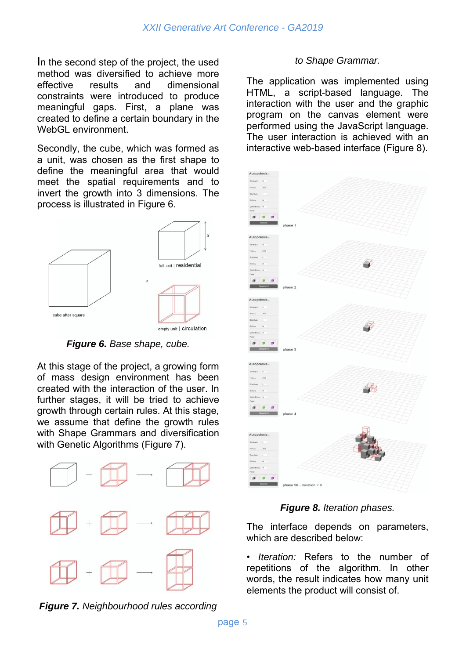In the second step of the project, the used method was diversified to achieve more effective results and dimensional constraints were introduced to produce meaningful gaps. First, a plane was created to define a certain boundary in the WebGL environment.

Secondly, the cube, which was formed as a unit, was chosen as the first shape to define the meaningful area that would meet the spatial requirements and to invert the growth into 3 dimensions. The process is illustrated in Figure 6.



*Figure 6. Base shape, cube.* 

At this stage of the project, a growing form of mass design environment has been created with the interaction of the user. In further stages, it will be tried to achieve growth through certain rules. At this stage, we assume that define the growth rules with Shape Grammars and diversification with Genetic Algorithms (Figure 7).



*Figure 7. Neighbourhood rules according* 

#### *to Shape Grammar.*

The application was implemented using HTML, a script-based language. The interaction with the user and the graphic program on the canvas element were performed using the JavaScript language. The user interaction is achieved with an interactive web-based interface (Figure 8).



#### *Figure 8. Iteration phases.*

The interface depends on parameters, which are described below:

• *Iteration:* Refers to the number of repetitions of the algorithm. In other words, the result indicates how many unit elements the product will consist of.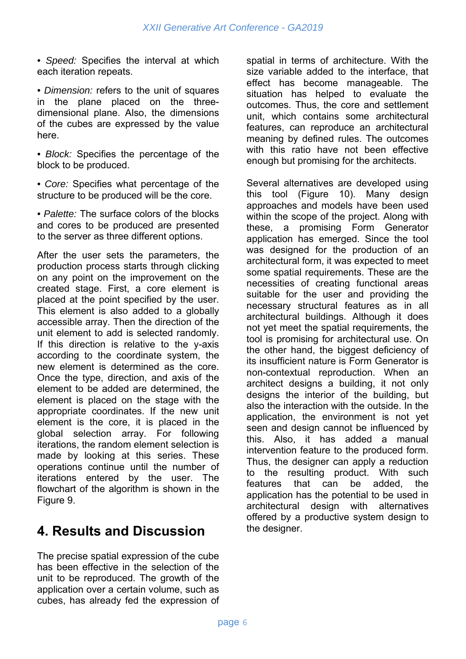*• Speed:* Specifies the interval at which each iteration repeats.

*• Dimension:* refers to the unit of squares in the plane placed on the threedimensional plane. Also, the dimensions of the cubes are expressed by the value here.

*• Block:* Specifies the percentage of the block to be produced.

*• Core:* Specifies what percentage of the structure to be produced will be the core.

*• Palette:* The surface colors of the blocks and cores to be produced are presented to the server as three different options.

After the user sets the parameters, the production process starts through clicking on any point on the improvement on the created stage. First, a core element is placed at the point specified by the user. This element is also added to a globally accessible array. Then the direction of the unit element to add is selected randomly. If this direction is relative to the y-axis according to the coordinate system, the new element is determined as the core. Once the type, direction, and axis of the element to be added are determined, the element is placed on the stage with the appropriate coordinates. If the new unit element is the core, it is placed in the global selection array. For following iterations, the random element selection is made by looking at this series. These operations continue until the number of iterations entered by the user. The flowchart of the algorithm is shown in the Figure 9.

## **4. Results and Discussion**

The precise spatial expression of the cube has been effective in the selection of the unit to be reproduced. The growth of the application over a certain volume, such as cubes, has already fed the expression of spatial in terms of architecture. With the size variable added to the interface, that effect has become manageable. The situation has helped to evaluate the outcomes. Thus, the core and settlement unit, which contains some architectural features, can reproduce an architectural meaning by defined rules. The outcomes with this ratio have not been effective enough but promising for the architects.

Several alternatives are developed using this tool (Figure 10). Many design approaches and models have been used within the scope of the project. Along with these, a promising Form Generator application has emerged. Since the tool was designed for the production of an architectural form, it was expected to meet some spatial requirements. These are the necessities of creating functional areas suitable for the user and providing the necessary structural features as in all architectural buildings. Although it does not yet meet the spatial requirements, the tool is promising for architectural use. On the other hand, the biggest deficiency of its insufficient nature is Form Generator is non-contextual reproduction. When an architect designs a building, it not only designs the interior of the building, but also the interaction with the outside. In the application, the environment is not yet seen and design cannot be influenced by this. Also, it has added a manual intervention feature to the produced form. Thus, the designer can apply a reduction to the resulting product. With such features that can be added, the application has the potential to be used in architectural design with alternatives offered by a productive system design to the designer.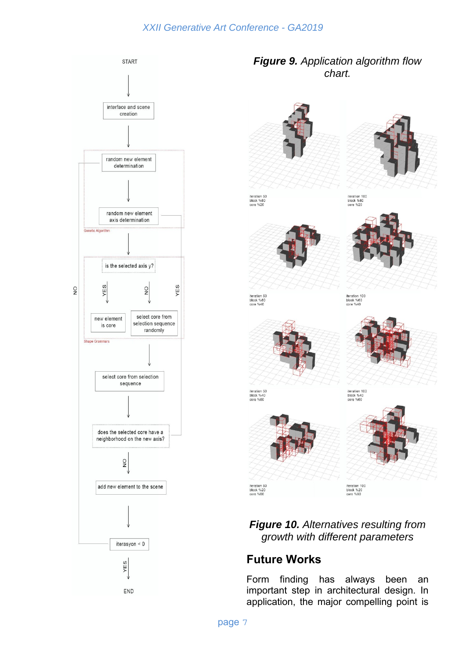

*Figure 9. Application algorithm flow chart.*



iteration 50<br>block %80<br>core %20







iteration 50<br>block %60<br>core %40

iteration 100<br>block %60<br>core %40





iteration 50<br>block %40<br>core %60

iteration 100<br>block %40<br>core %60



*Figure 10. Alternatives resulting from growth with different parameters*

## **Future Works**

Form finding has always been an important step in architectural design. In application, the major compelling point is